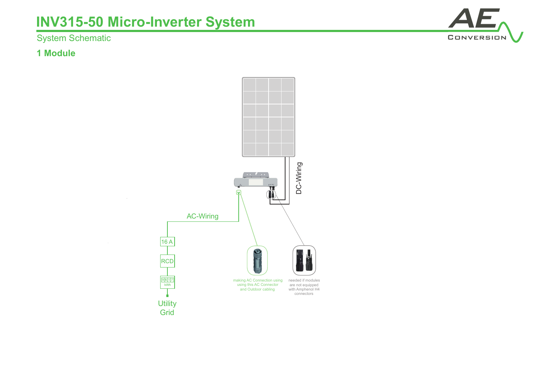System Schematic

### **1 Module**



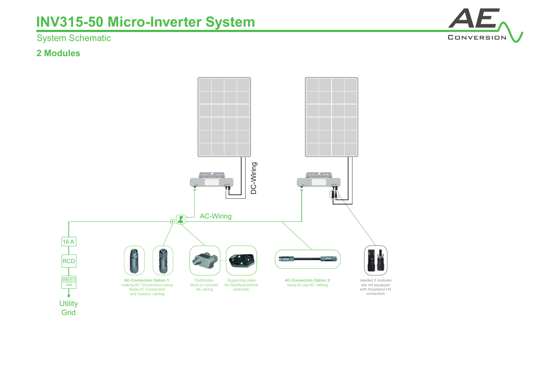## System Schematic

### **2 Modules**



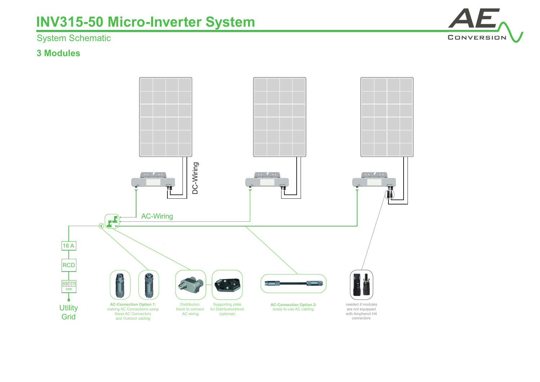## System Schematic

### **3 Modules**